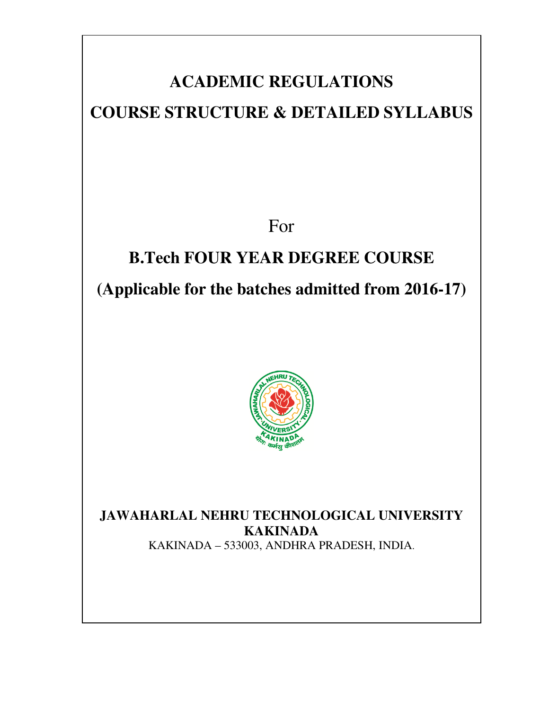## **ACADEMIC REGULATIONS**

### **COURSE STRUCTURE & DETAILED SYLLABUS**

For

## **B.Tech FOUR YEAR DEGREE COURSE (Applicable for the batches admitted from 2016-17)**



**JAWAHARLAL NEHRU TECHNOLOGICAL UNIVERSITY KAKINADA**

KAKINADA – 533003, ANDHRA PRADESH, INDIA.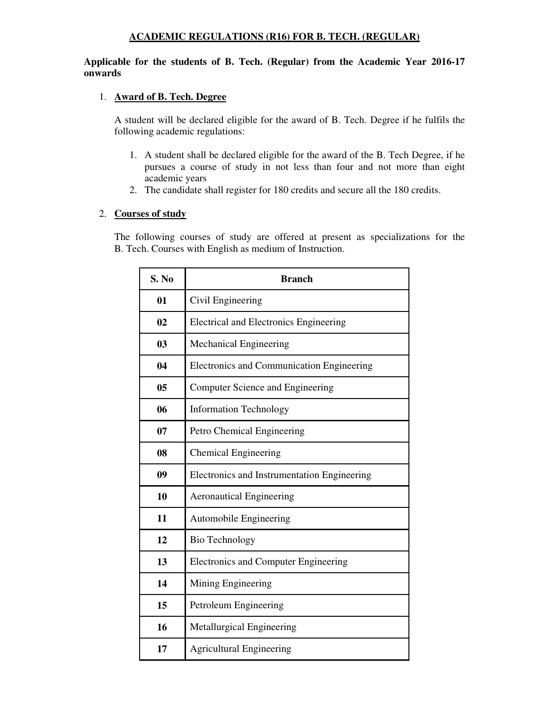#### **ACADEMIC REGULATIONS (R16) FOR B. TECH. (REGULAR)**

#### **Applicable for the students of B. Tech. (Regular) from the Academic Year 2016-17 onwards**

#### 1. **Award of B. Tech. Degree**

A student will be declared eligible for the award of B. Tech. Degree if he fulfils the following academic regulations:

- 1. A student shall be declared eligible for the award of the B. Tech Degree, if he pursues a course of study in not less than four and not more than eight academic years
- 2. The candidate shall register for 180 credits and secure all the 180 credits.

#### 2. **Courses of study**

The following courses of study are offered at present as specializations for the B. Tech. Courses with English as medium of Instruction.

| S. No | <b>Branch</b>                               |  |
|-------|---------------------------------------------|--|
| 01    | Civil Engineering                           |  |
| 02    | Electrical and Electronics Engineering      |  |
| 03    | <b>Mechanical Engineering</b>               |  |
| 04    | Electronics and Communication Engineering   |  |
| 05    | <b>Computer Science and Engineering</b>     |  |
| 06    | <b>Information Technology</b>               |  |
| 07    | Petro Chemical Engineering                  |  |
| 08    | <b>Chemical Engineering</b>                 |  |
| 09    | Electronics and Instrumentation Engineering |  |
| 10    | <b>Aeronautical Engineering</b>             |  |
| 11    | Automobile Engineering                      |  |
| 12    | Bio Technology                              |  |
| 13    | <b>Electronics and Computer Engineering</b> |  |
| 14    | Mining Engineering                          |  |
| 15    | Petroleum Engineering                       |  |
| 16    | Metallurgical Engineering                   |  |
| 17    | <b>Agricultural Engineering</b>             |  |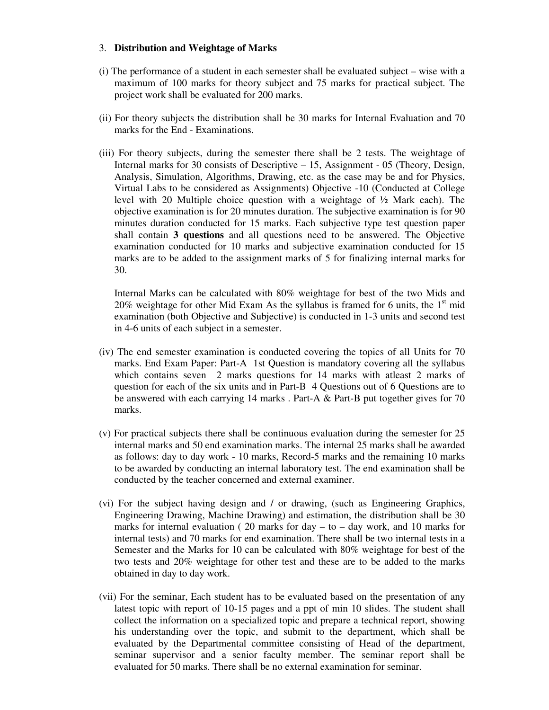#### 3. **Distribution and Weightage of Marks**

- (i) The performance of a student in each semester shall be evaluated subject wise with a maximum of 100 marks for theory subject and 75 marks for practical subject. The project work shall be evaluated for 200 marks.
- (ii) For theory subjects the distribution shall be 30 marks for Internal Evaluation and 70 marks for the End - Examinations.
- (iii) For theory subjects, during the semester there shall be 2 tests. The weightage of Internal marks for 30 consists of Descriptive – 15, Assignment - 05 (Theory, Design, Analysis, Simulation, Algorithms, Drawing, etc. as the case may be and for Physics, Virtual Labs to be considered as Assignments) Objective -10 (Conducted at College level with 20 Multiple choice question with a weightage of ½ Mark each). The objective examination is for 20 minutes duration. The subjective examination is for 90 minutes duration conducted for 15 marks. Each subjective type test question paper shall contain **3 questions** and all questions need to be answered. The Objective examination conducted for 10 marks and subjective examination conducted for 15 marks are to be added to the assignment marks of 5 for finalizing internal marks for 30.

Internal Marks can be calculated with 80% weightage for best of the two Mids and 20% weightage for other Mid Exam As the syllabus is framed for 6 units, the  $1<sup>st</sup>$  mid examination (both Objective and Subjective) is conducted in 1-3 units and second test in 4-6 units of each subject in a semester.

- (iv) The end semester examination is conducted covering the topics of all Units for 70 marks. End Exam Paper: Part-A 1st Question is mandatory covering all the syllabus which contains seven 2 marks questions for 14 marks with atleast 2 marks of question for each of the six units and in Part-B 4 Questions out of 6 Questions are to be answered with each carrying 14 marks . Part-A & Part-B put together gives for 70 marks.
- (v) For practical subjects there shall be continuous evaluation during the semester for 25 internal marks and 50 end examination marks. The internal 25 marks shall be awarded as follows: day to day work - 10 marks, Record-5 marks and the remaining 10 marks to be awarded by conducting an internal laboratory test. The end examination shall be conducted by the teacher concerned and external examiner.
- (vi) For the subject having design and / or drawing, (such as Engineering Graphics, Engineering Drawing, Machine Drawing) and estimation, the distribution shall be 30 marks for internal evaluation ( $20$  marks for day – to – day work, and  $10$  marks for internal tests) and 70 marks for end examination. There shall be two internal tests in a Semester and the Marks for 10 can be calculated with 80% weightage for best of the two tests and 20% weightage for other test and these are to be added to the marks obtained in day to day work.
- (vii) For the seminar, Each student has to be evaluated based on the presentation of any latest topic with report of 10-15 pages and a ppt of min 10 slides. The student shall collect the information on a specialized topic and prepare a technical report, showing his understanding over the topic, and submit to the department, which shall be evaluated by the Departmental committee consisting of Head of the department, seminar supervisor and a senior faculty member. The seminar report shall be evaluated for 50 marks. There shall be no external examination for seminar.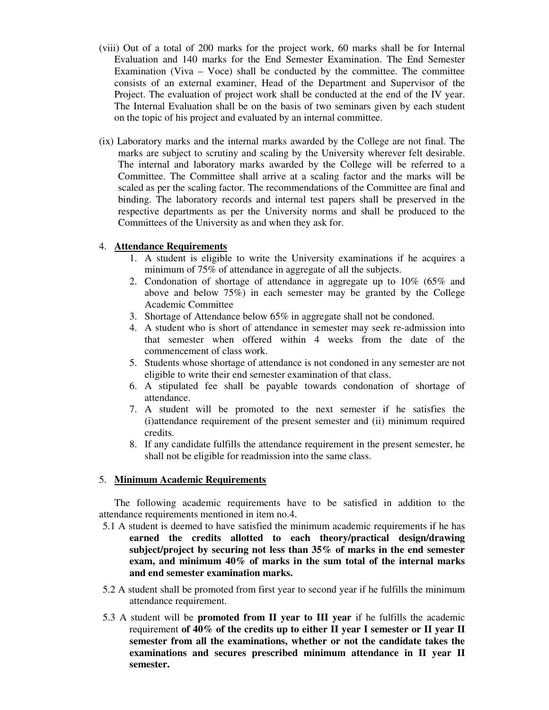- (viii) Out of a total of 200 marks for the project work, 60 marks shall be for Internal Evaluation and 140 marks for the End Semester Examination. The End Semester Examination (Viva  $-$  Voce) shall be conducted by the committee. The committee consists of an external examiner, Head of the Department and Supervisor of the Project. The evaluation of project work shall be conducted at the end of the IV year. The Internal Evaluation shall be on the basis of two seminars given by each student on the topic of his project and evaluated by an internal committee.
- (ix) Laboratory marks and the internal marks awarded by the College are not final. The marks are subject to scrutiny and scaling by the University wherever felt desirable. The internal and laboratory marks awarded by the College will be referred to a Committee. The Committee shall arrive at a scaling factor and the marks will be scaled as per the scaling factor. The recommendations of the Committee are final and binding. The laboratory records and internal test papers shall be preserved in the respective departments as per the University norms and shall be produced to the Committees of the University as and when they ask for.

#### 4. **Attendance Requirements**

- 1. A student is eligible to write the University examinations if he acquires a minimum of 75% of attendance in aggregate of all the subjects.
- 2. Condonation of shortage of attendance in aggregate up to 10% (65% and above and below 75%) in each semester may be granted by the College Academic Committee
- 3. Shortage of Attendance below 65% in aggregate shall not be condoned.
- 4. A student who is short of attendance in semester may seek re-admission into that semester when offered within 4 weeks from the date of the commencement of class work.
- 5. Students whose shortage of attendance is not condoned in any semester are not eligible to write their end semester examination of that class.
- 6. A stipulated fee shall be payable towards condonation of shortage of attendance.
- 7. A student will be promoted to the next semester if he satisfies the (i)attendance requirement of the present semester and (ii) minimum required credits.
- 8. If any candidate fulfills the attendance requirement in the present semester, he shall not be eligible for readmission into the same class.

#### 5. **Minimum Academic Requirements**

The following academic requirements have to be satisfied in addition to the attendance requirements mentioned in item no.4.

- 5.1 A student is deemed to have satisfied the minimum academic requirements if he has **earned the credits allotted to each theory/practical design/drawing subject/project by securing not less than 35% of marks in the end semester exam, and minimum 40% of marks in the sum total of the internal marks and end semester examination marks.**
- 5.2 A student shall be promoted from first year to second year if he fulfills the minimum attendance requirement.
- 5.3 A student will be **promoted from II year to III year** if he fulfills the academic requirement **of 40% of the credits up to either II year I semester or II year II semester from all the examinations, whether or not the candidate takes the examinations and secures prescribed minimum attendance in II year II semester.**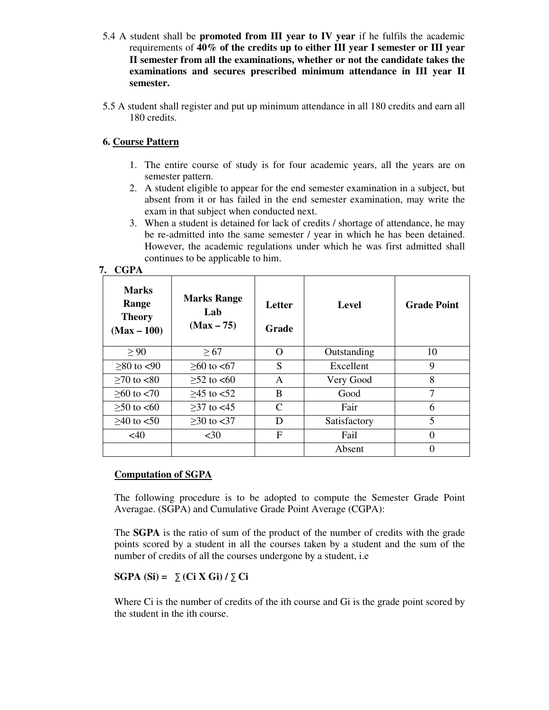- 5.4 A student shall be **promoted from III year to IV year** if he fulfils the academic requirements of **40% of the credits up to either III year I semester or III year II semester from all the examinations, whether or not the candidate takes the examinations and secures prescribed minimum attendance in III year II semester.**
- 5.5 A student shall register and put up minimum attendance in all 180 credits and earn all 180 credits.

#### **6. Course Pattern**

- 1. The entire course of study is for four academic years, all the years are on semester pattern.
- 2. A student eligible to appear for the end semester examination in a subject, but absent from it or has failed in the end semester examination, may write the exam in that subject when conducted next.
- 3. When a student is detained for lack of credits / shortage of attendance, he may be re-admitted into the same semester / year in which he has been detained. However, the academic regulations under which he was first admitted shall continues to be applicable to him.

#### **7. CGPA**

| <b>Marks</b><br>Range<br><b>Theory</b><br>$(Max - 100)$ | <b>Marks Range</b><br>Lab<br>$(Max - 75)$ | Letter<br>Grade | <b>Level</b> | <b>Grade Point</b> |
|---------------------------------------------------------|-------------------------------------------|-----------------|--------------|--------------------|
| $\geq 90$                                               | $\geq 67$                                 | $\Omega$        | Outstanding  | 10                 |
| $>80$ to $< 90$                                         | $>60$ to $< 67$                           | S               | Excellent    | 9                  |
| $≥70$ to <80                                            | $\geq 52$ to <60                          | A               | Very Good    | 8                  |
| $>60$ to $< 70$                                         | $>45$ to $< 52$                           | B               | Good         | 7                  |
| $≥ 50$ to <60                                           | $>37$ to $< 45$                           | $\mathcal{C}$   | Fair         | 6                  |
| $>40$ to $< 50$                                         | $≥30$ to <37                              | D               | Satisfactory | 5                  |
| <40                                                     | $30$                                      | F               | Fail         | $\Omega$           |
|                                                         |                                           |                 | Absent       |                    |

#### **Computation of SGPA**

The following procedure is to be adopted to compute the Semester Grade Point Averagae. (SGPA) and Cumulative Grade Point Average (CGPA):

The **SGPA** is the ratio of sum of the product of the number of credits with the grade points scored by a student in all the courses taken by a student and the sum of the number of credits of all the courses undergone by a student, i.e

#### **SGPA (Si) =** ∑ **(Ci X Gi) /** ∑ **Ci**

Where Ci is the number of credits of the ith course and Gi is the grade point scored by the student in the ith course.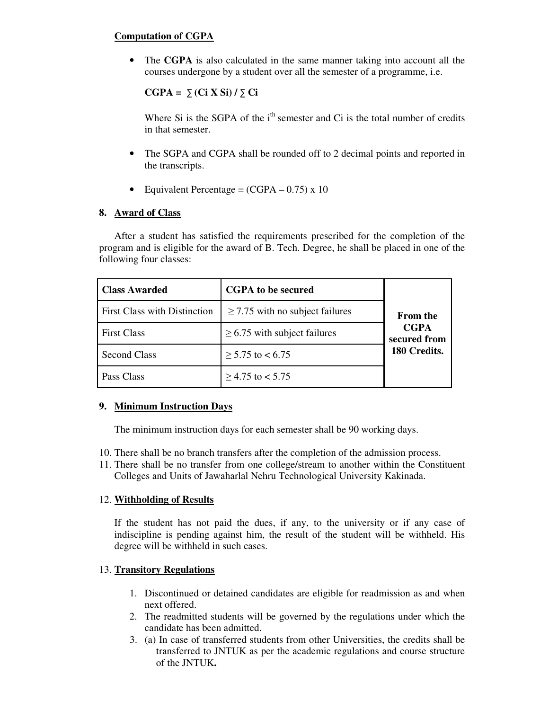#### **Computation of CGPA**

• The **CGPA** is also calculated in the same manner taking into account all the courses undergone by a student over all the semester of a programme, i.e.

**CGPA =** ∑ **(Ci X Si) /** ∑ **Ci**

Where Si is the SGPA of the  $i<sup>th</sup>$  semester and Ci is the total number of credits in that semester.

- The SGPA and CGPA shall be rounded off to 2 decimal points and reported in the transcripts.
- Equivalent Percentage =  $(CGPA 0.75) \times 10$

#### **8. Award of Class**

After a student has satisfied the requirements prescribed for the completion of the program and is eligible for the award of B. Tech. Degree, he shall be placed in one of the following four classes:

| <b>Class Awarded</b>                | <b>CGPA</b> to be secured            |                             |
|-------------------------------------|--------------------------------------|-----------------------------|
| <b>First Class with Distinction</b> | $\geq$ 7.75 with no subject failures | <b>From the</b>             |
| <b>First Class</b>                  | $\geq$ 6.75 with subject failures    | <b>CGPA</b><br>secured from |
| <b>Second Class</b>                 | $\geq 5.75$ to < 6.75                | 180 Credits.                |
| Pass Class                          | $\geq$ 4.75 to < 5.75                |                             |

#### **9. Minimum Instruction Days**

The minimum instruction days for each semester shall be 90 working days.

- 10. There shall be no branch transfers after the completion of the admission process.
- 11. There shall be no transfer from one college/stream to another within the Constituent Colleges and Units of Jawaharlal Nehru Technological University Kakinada.

#### 12. **Withholding of Results**

If the student has not paid the dues, if any, to the university or if any case of indiscipline is pending against him, the result of the student will be withheld. His degree will be withheld in such cases.

#### 13. **Transitory Regulations**

- 1. Discontinued or detained candidates are eligible for readmission as and when next offered.
- 2. The readmitted students will be governed by the regulations under which the candidate has been admitted.
- 3. (a) In case of transferred students from other Universities, the credits shall be transferred to JNTUK as per the academic regulations and course structure of the JNTUK**.**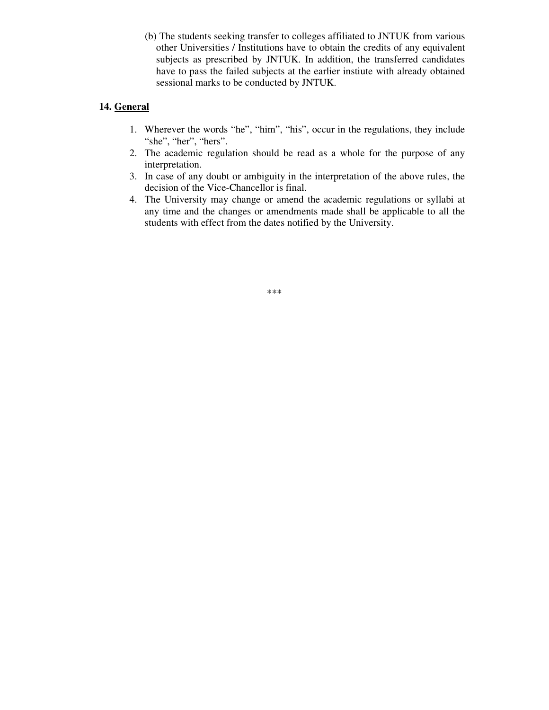(b) The students seeking transfer to colleges affiliated to JNTUK from various other Universities / Institutions have to obtain the credits of any equivalent subjects as prescribed by JNTUK. In addition, the transferred candidates have to pass the failed subjects at the earlier instiute with already obtained sessional marks to be conducted by JNTUK.

#### **14. General**

- 1. Wherever the words "he", "him", "his", occur in the regulations, they include "she", "her", "hers".
- 2. The academic regulation should be read as a whole for the purpose of any interpretation.
- 3. In case of any doubt or ambiguity in the interpretation of the above rules, the decision of the Vice-Chancellor is final.
- 4. The University may change or amend the academic regulations or syllabi at any time and the changes or amendments made shall be applicable to all the students with effect from the dates notified by the University.

\*\*\*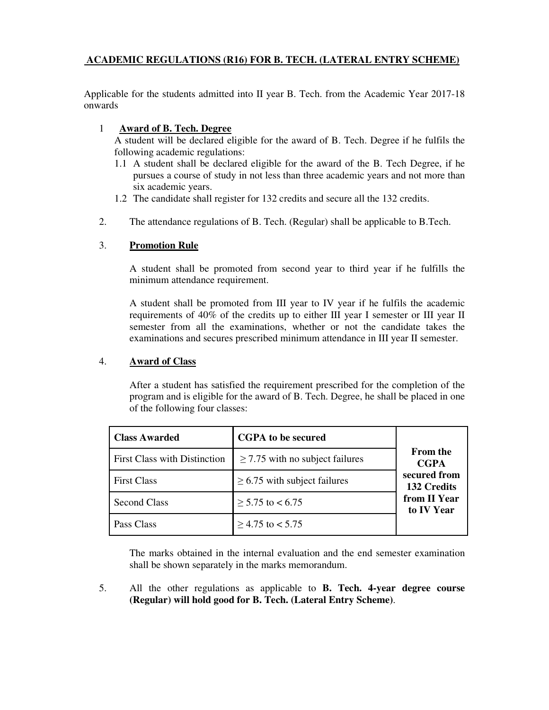#### **ACADEMIC REGULATIONS (R16) FOR B. TECH. (LATERAL ENTRY SCHEME)**

Applicable for the students admitted into II year B. Tech. from the Academic Year 2017-18 onwards

#### 1 **Award of B. Tech. Degree**

A student will be declared eligible for the award of B. Tech. Degree if he fulfils the following academic regulations:

- 1.1 A student shall be declared eligible for the award of the B. Tech Degree, if he pursues a course of study in not less than three academic years and not more than six academic years.
- 1.2 The candidate shall register for 132 credits and secure all the 132 credits.
- 2. The attendance regulations of B. Tech. (Regular) shall be applicable to B.Tech.

#### 3. **Promotion Rule**

A student shall be promoted from second year to third year if he fulfills the minimum attendance requirement.

A student shall be promoted from III year to IV year if he fulfils the academic requirements of 40% of the credits up to either III year I semester or III year II semester from all the examinations, whether or not the candidate takes the examinations and secures prescribed minimum attendance in III year II semester.

#### 4. **Award of Class**

After a student has satisfied the requirement prescribed for the completion of the program and is eligible for the award of B. Tech. Degree, he shall be placed in one of the following four classes:

| <b>Class Awarded</b>                | <b>CGPA</b> to be secured            |                                |
|-------------------------------------|--------------------------------------|--------------------------------|
| <b>First Class with Distinction</b> | $\geq$ 7.75 with no subject failures | <b>From the</b><br><b>CGPA</b> |
| <b>First Class</b>                  | $\geq$ 6.75 with subject failures    | secured from<br>132 Credits    |
| <b>Second Class</b>                 | $\geq$ 5.75 to < 6.75                | from II Year<br>to IV Year     |
| Pass Class                          | $\geq$ 4.75 to < 5.75                |                                |

The marks obtained in the internal evaluation and the end semester examination shall be shown separately in the marks memorandum.

5. All the other regulations as applicable to **B. Tech. 4-year degree course (Regular) will hold good for B. Tech. (Lateral Entry Scheme)**.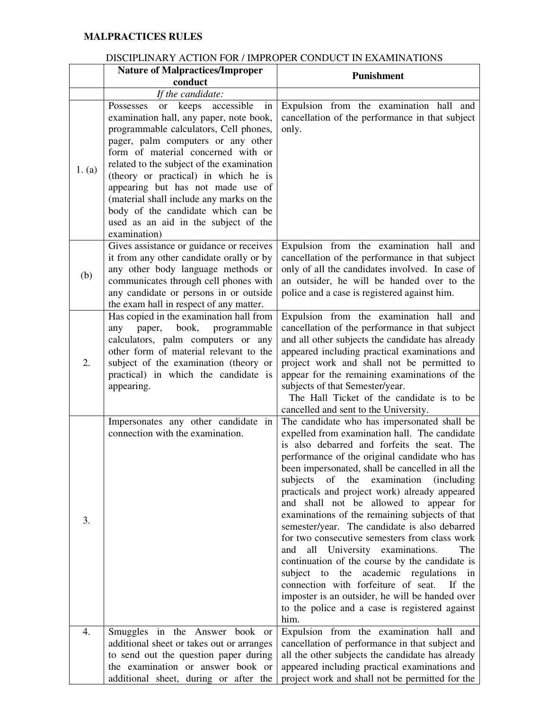#### **MALPRACTICES RULES**

#### DISCIPLINARY ACTION FOR / IMPROPER CONDUCT IN EXAMINATIONS

|        | <b>Nature of Malpractices/Improper</b>                                                                                                                                                                                                                                                                                                                                                                                                                                      | <b>Punishment</b>                                                                                                                                                                                                                                                                                                                                                                                                                                                                                                                                                                                                                                                                                                                                                                                                                                                     |
|--------|-----------------------------------------------------------------------------------------------------------------------------------------------------------------------------------------------------------------------------------------------------------------------------------------------------------------------------------------------------------------------------------------------------------------------------------------------------------------------------|-----------------------------------------------------------------------------------------------------------------------------------------------------------------------------------------------------------------------------------------------------------------------------------------------------------------------------------------------------------------------------------------------------------------------------------------------------------------------------------------------------------------------------------------------------------------------------------------------------------------------------------------------------------------------------------------------------------------------------------------------------------------------------------------------------------------------------------------------------------------------|
|        | conduct                                                                                                                                                                                                                                                                                                                                                                                                                                                                     |                                                                                                                                                                                                                                                                                                                                                                                                                                                                                                                                                                                                                                                                                                                                                                                                                                                                       |
|        | If the candidate:                                                                                                                                                                                                                                                                                                                                                                                                                                                           |                                                                                                                                                                                                                                                                                                                                                                                                                                                                                                                                                                                                                                                                                                                                                                                                                                                                       |
| 1. (a) | or keeps accessible<br>Possesses<br>in<br>examination hall, any paper, note book,<br>programmable calculators, Cell phones,<br>pager, palm computers or any other<br>form of material concerned with or<br>related to the subject of the examination<br>(theory or practical) in which he is<br>appearing but has not made use of<br>(material shall include any marks on the<br>body of the candidate which can be<br>used as an aid in the subject of the<br>examination) | Expulsion from the examination hall and<br>cancellation of the performance in that subject<br>only.                                                                                                                                                                                                                                                                                                                                                                                                                                                                                                                                                                                                                                                                                                                                                                   |
| (b)    | Gives assistance or guidance or receives<br>it from any other candidate orally or by<br>any other body language methods or<br>communicates through cell phones with<br>any candidate or persons in or outside<br>the exam hall in respect of any matter.                                                                                                                                                                                                                    | Expulsion from the examination hall and<br>cancellation of the performance in that subject<br>only of all the candidates involved. In case of<br>an outsider, he will be handed over to the<br>police and a case is registered against him.                                                                                                                                                                                                                                                                                                                                                                                                                                                                                                                                                                                                                           |
| 2.     | Has copied in the examination hall from<br>paper, book, programmable<br>any<br>calculators, palm computers or any<br>other form of material relevant to the<br>subject of the examination (theory or<br>practical) in which the candidate is<br>appearing.                                                                                                                                                                                                                  | Expulsion from the examination hall and<br>cancellation of the performance in that subject<br>and all other subjects the candidate has already<br>appeared including practical examinations and<br>project work and shall not be permitted to<br>appear for the remaining examinations of the<br>subjects of that Semester/year.<br>The Hall Ticket of the candidate is to be<br>cancelled and sent to the University.                                                                                                                                                                                                                                                                                                                                                                                                                                                |
| 3.     | Impersonates any other candidate in<br>connection with the examination.                                                                                                                                                                                                                                                                                                                                                                                                     | The candidate who has impersonated shall be<br>expelled from examination hall. The candidate<br>is also debarred and forfeits the seat. The<br>performance of the original candidate who has<br>been impersonated, shall be cancelled in all the<br>examination<br>subjects<br>of<br>the<br><i>(including)</i><br>practicals and project work) already appeared<br>and shall not be allowed to appear for<br>examinations of the remaining subjects of that<br>semester/year. The candidate is also debarred<br>for two consecutive semesters from class work<br>all University examinations.<br>The<br>and<br>continuation of the course by the candidate is<br>subject to the academic regulations in<br>connection with forfeiture of seat.<br>If the<br>imposter is an outsider, he will be handed over<br>to the police and a case is registered against<br>him. |
| 4.     | Smuggles in the Answer book or<br>additional sheet or takes out or arranges<br>to send out the question paper during<br>the examination or answer book or<br>additional sheet, during or after the                                                                                                                                                                                                                                                                          | Expulsion from the examination hall and<br>cancellation of performance in that subject and<br>all the other subjects the candidate has already<br>appeared including practical examinations and<br>project work and shall not be permitted for the                                                                                                                                                                                                                                                                                                                                                                                                                                                                                                                                                                                                                    |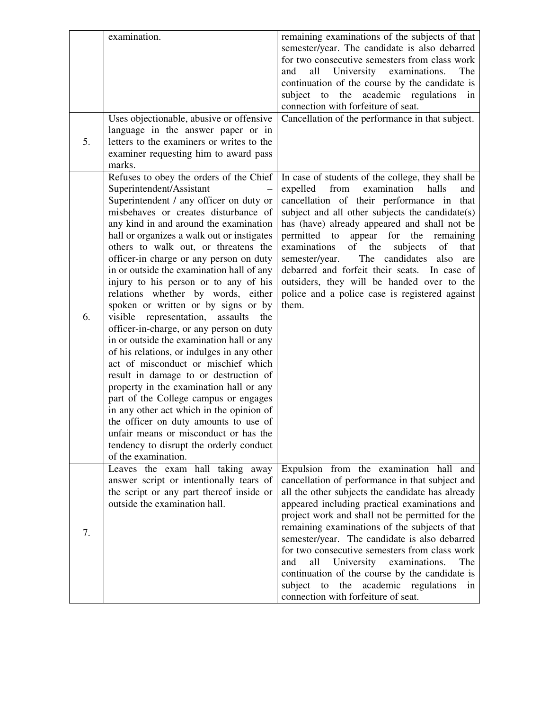|    | examination.                                                                                                                                                                                                                                                                                                                                                                                                                                                                                                                                                                                                                                                                                                                                                                                                                                                                                                                                                                                                                                                     | remaining examinations of the subjects of that<br>semester/year. The candidate is also debarred<br>for two consecutive semesters from class work<br>and<br>all<br>University examinations.<br>The<br>continuation of the course by the candidate is<br>the<br>academic regulations in<br>subject<br>to<br>connection with forfeiture of seat.                                                                                                                                                                                                                                                                |
|----|------------------------------------------------------------------------------------------------------------------------------------------------------------------------------------------------------------------------------------------------------------------------------------------------------------------------------------------------------------------------------------------------------------------------------------------------------------------------------------------------------------------------------------------------------------------------------------------------------------------------------------------------------------------------------------------------------------------------------------------------------------------------------------------------------------------------------------------------------------------------------------------------------------------------------------------------------------------------------------------------------------------------------------------------------------------|--------------------------------------------------------------------------------------------------------------------------------------------------------------------------------------------------------------------------------------------------------------------------------------------------------------------------------------------------------------------------------------------------------------------------------------------------------------------------------------------------------------------------------------------------------------------------------------------------------------|
| 5. | Uses objectionable, abusive or offensive<br>language in the answer paper or in<br>letters to the examiners or writes to the<br>examiner requesting him to award pass<br>marks.                                                                                                                                                                                                                                                                                                                                                                                                                                                                                                                                                                                                                                                                                                                                                                                                                                                                                   | Cancellation of the performance in that subject.                                                                                                                                                                                                                                                                                                                                                                                                                                                                                                                                                             |
| 6. | Refuses to obey the orders of the Chief<br>Superintendent/Assistant<br>Superintendent / any officer on duty or<br>misbehaves or creates disturbance of<br>any kind in and around the examination<br>hall or organizes a walk out or instigates<br>others to walk out, or threatens the<br>officer-in charge or any person on duty<br>in or outside the examination hall of any<br>injury to his person or to any of his<br>relations whether by words, either<br>spoken or written or by signs or by<br>representation,<br>assaults<br>visible<br>the<br>officer-in-charge, or any person on duty<br>in or outside the examination hall or any<br>of his relations, or indulges in any other<br>act of misconduct or mischief which<br>result in damage to or destruction of<br>property in the examination hall or any<br>part of the College campus or engages<br>in any other act which in the opinion of<br>the officer on duty amounts to use of<br>unfair means or misconduct or has the<br>tendency to disrupt the orderly conduct<br>of the examination. | In case of students of the college, they shall be<br>from<br>examination<br>halls<br>expelled<br>and<br>cancellation of their performance in that<br>subject and all other subjects the candidate(s)<br>has (have) already appeared and shall not be<br>appear<br>permitted to<br>for<br>the<br>remaining<br>of<br>examinations<br>the<br>subjects<br>of<br>that<br>The candidates<br>semester/year.<br>also<br>are<br>debarred and forfeit their seats. In case of<br>outsiders, they will be handed over to the<br>police and a police case is registered against<br>them.                                 |
| 7. | Leaves the exam hall taking away<br>answer script or intentionally tears of<br>the script or any part thereof inside or<br>outside the examination hall.                                                                                                                                                                                                                                                                                                                                                                                                                                                                                                                                                                                                                                                                                                                                                                                                                                                                                                         | Expulsion from the examination hall and<br>cancellation of performance in that subject and<br>all the other subjects the candidate has already<br>appeared including practical examinations and<br>project work and shall not be permitted for the<br>remaining examinations of the subjects of that<br>semester/year. The candidate is also debarred<br>for two consecutive semesters from class work<br>all<br>University<br>examinations.<br>The<br>and<br>continuation of the course by the candidate is<br>subject<br>the<br>academic<br>to<br>regulations<br>in<br>connection with forfeiture of seat. |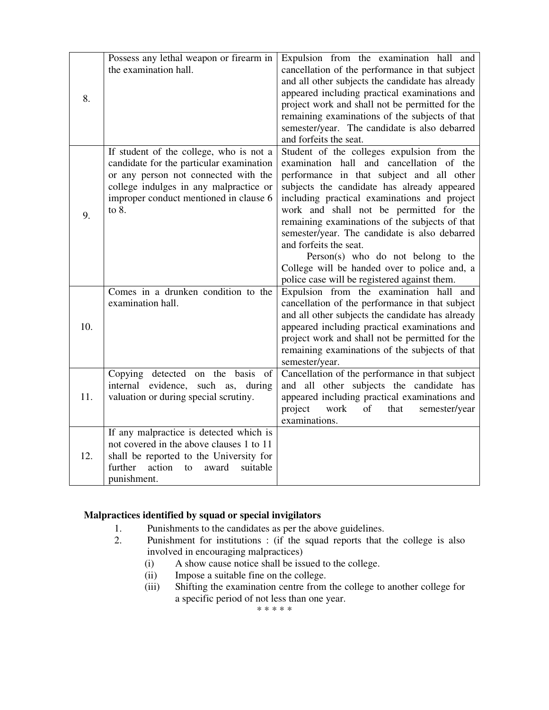| 8.  | Possess any lethal weapon or firearm in<br>the examination hall.                                                                                                                                                           | Expulsion from the examination hall and<br>cancellation of the performance in that subject<br>and all other subjects the candidate has already<br>appeared including practical examinations and<br>project work and shall not be permitted for the<br>remaining examinations of the subjects of that<br>semester/year. The candidate is also debarred<br>and forfeits the seat.                                                                                                                                                                  |
|-----|----------------------------------------------------------------------------------------------------------------------------------------------------------------------------------------------------------------------------|--------------------------------------------------------------------------------------------------------------------------------------------------------------------------------------------------------------------------------------------------------------------------------------------------------------------------------------------------------------------------------------------------------------------------------------------------------------------------------------------------------------------------------------------------|
| 9.  | If student of the college, who is not a<br>candidate for the particular examination<br>or any person not connected with the<br>college indulges in any malpractice or<br>improper conduct mentioned in clause 6<br>to $8.$ | Student of the colleges expulsion from the<br>examination hall and cancellation of the<br>performance in that subject and all other<br>subjects the candidate has already appeared<br>including practical examinations and project<br>work and shall not be permitted for the<br>remaining examinations of the subjects of that<br>semester/year. The candidate is also debarred<br>and forfeits the seat.<br>Person(s) who do not belong to the<br>College will be handed over to police and, a<br>police case will be registered against them. |
| 10. | Comes in a drunken condition to the<br>examination hall.                                                                                                                                                                   | Expulsion from the examination hall and<br>cancellation of the performance in that subject<br>and all other subjects the candidate has already<br>appeared including practical examinations and<br>project work and shall not be permitted for the<br>remaining examinations of the subjects of that<br>semester/year.                                                                                                                                                                                                                           |
| 11. | Copying detected on the basis<br>of<br>internal evidence, such as, during<br>valuation or during special scrutiny.                                                                                                         | Cancellation of the performance in that subject<br>and all other subjects the candidate has<br>appeared including practical examinations and<br>project<br>work<br>of<br>that<br>semester/year<br>examinations.                                                                                                                                                                                                                                                                                                                                  |
| 12. | If any malpractice is detected which is<br>not covered in the above clauses 1 to 11<br>shall be reported to the University for<br>action<br>further<br>award<br>suitable<br>to<br>punishment.                              |                                                                                                                                                                                                                                                                                                                                                                                                                                                                                                                                                  |

#### **Malpractices identified by squad or special invigilators**

- 1. Punishments to the candidates as per the above guidelines.<br>2. Punishment for institutions : (if the squad reports that t
- Punishment for institutions : (if the squad reports that the college is also involved in encouraging malpractices)
	- (i) A show cause notice shall be issued to the college.
	- (ii) Impose a suitable fine on the college.
	- (iii) Shifting the examination centre from the college to another college for a specific period of not less than one year.

\* \* \* \* \*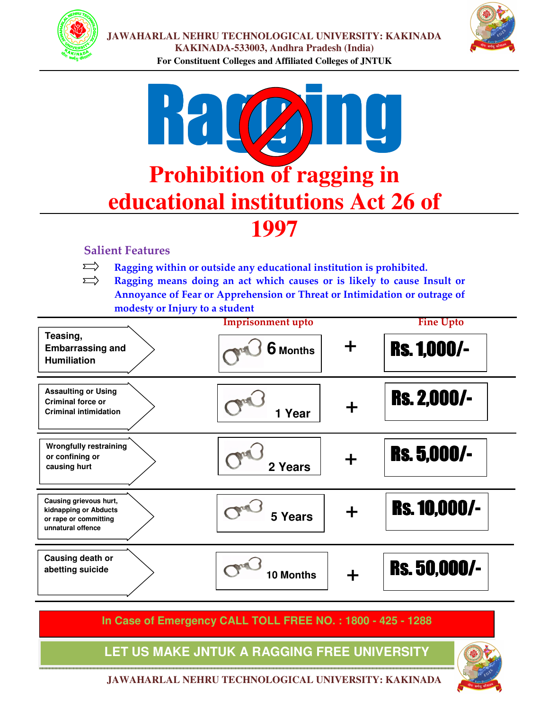



# Ragging **Prohibition of ragging in educational institutions Act 26 of 1997**

#### **Salient Features**

- $\sum$ **Ragging within or outside any educational institution is prohibited.**
- $\sum$ **Ragging means doing an act which causes or is likely to cause Insult or Annoyance of Fear or Apprehension or Threat or Intimidation or outrage of modesty or Injury to a student**



**In Case of Emergency CALL TOLL FREE NO. : 1800 - 425 - 1288**

**JAWAHARLAL NEHRU TECHNOLOGICAL UNIVERSITY: KAKINADA** LET US MAKE JNTUK A RAGGING FREE UNIVERSITY

**JAWAHARLAL NEHRU TECHNOLOGICAL UNIVERSITY: KAKINADA**